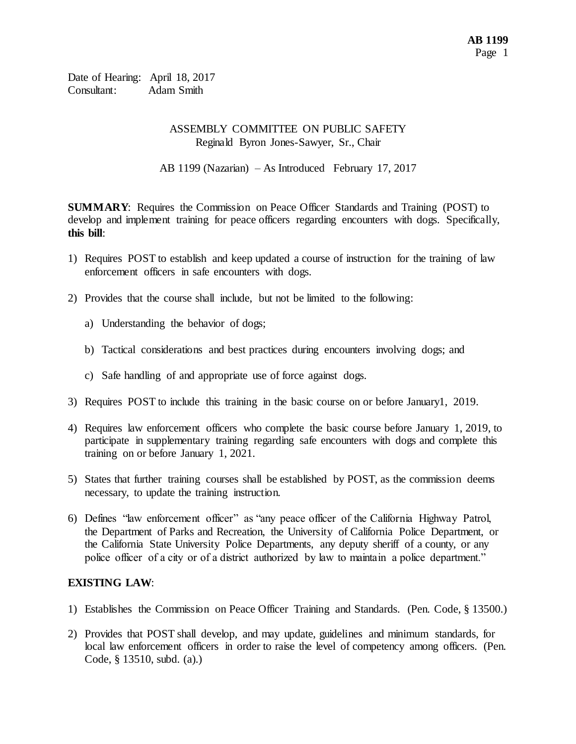Date of Hearing: April 18, 2017 Consultant: Adam Smith

### ASSEMBLY COMMITTEE ON PUBLIC SAFETY Reginald Byron Jones-Sawyer, Sr., Chair

AB 1199 (Nazarian) – As Introduced February 17, 2017

**SUMMARY**: Requires the Commission on Peace Officer Standards and Training (POST) to develop and implement training for peace officers regarding encounters with dogs. Specifically, **this bill**:

- 1) Requires POST to establish and keep updated a course of instruction for the training of law enforcement officers in safe encounters with dogs.
- 2) Provides that the course shall include, but not be limited to the following:
	- a) Understanding the behavior of dogs;
	- b) Tactical considerations and best practices during encounters involving dogs; and
	- c) Safe handling of and appropriate use of force against dogs.
- 3) Requires POST to include this training in the basic course on or before January1, 2019.
- 4) Requires law enforcement officers who complete the basic course before January 1, 2019, to participate in supplementary training regarding safe encounters with dogs and complete this training on or before January 1, 2021.
- 5) States that further training courses shall be established by POST, as the commission deems necessary, to update the training instruction.
- 6) Defines "law enforcement officer" as "any peace officer of the California Highway Patrol, the Department of Parks and Recreation, the University of California Police Department, or the California State University Police Departments, any deputy sheriff of a county, or any police officer of a city or of a district authorized by law to maintain a police department."

# **EXISTING LAW**:

- 1) Establishes the Commission on Peace Officer Training and Standards. (Pen. Code, § 13500.)
- 2) Provides that POST shall develop, and may update, guidelines and minimum standards, for local law enforcement officers in order to raise the level of competency among officers. (Pen. Code, § 13510, subd. (a).)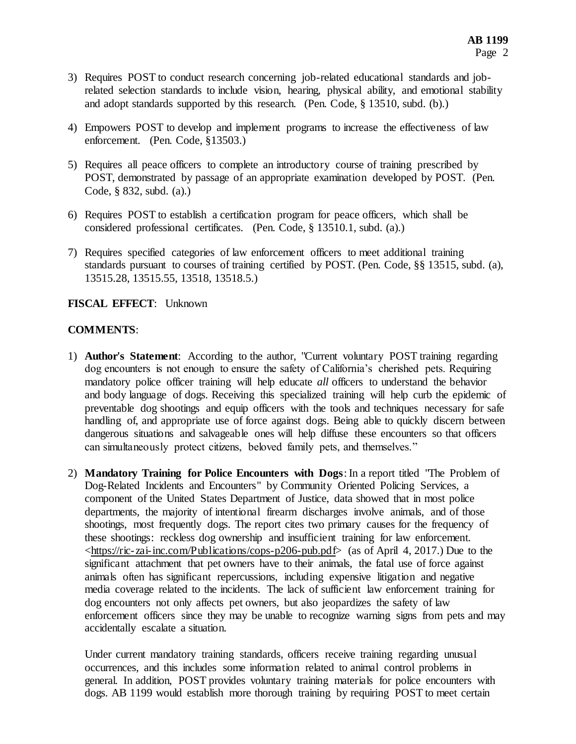- 3) Requires POST to conduct research concerning job-related educational standards and jobrelated selection standards to include vision, hearing, physical ability, and emotional stability and adopt standards supported by this research. (Pen. Code, § 13510, subd. (b).)
- 4) Empowers POST to develop and implement programs to increase the effectiveness of law enforcement. (Pen. Code, §13503.)
- 5) Requires all peace officers to complete an introductory course of training prescribed by POST, demonstrated by passage of an appropriate examination developed by POST. (Pen. Code, § 832, subd. (a).)
- 6) Requires POST to establish a certification program for peace officers, which shall be considered professional certificates. (Pen. Code, § 13510.1, subd. (a).)
- 7) Requires specified categories of law enforcement officers to meet additional training standards pursuant to courses of training certified by POST. (Pen. Code, §§ 13515, subd. (a), 13515.28, 13515.55, 13518, 13518.5.)

### **FISCAL EFFECT**: Unknown

### **COMMENTS**:

- 1) **Author's Statement**: According to the author, "Current voluntary POST training regarding dog encounters is not enough to ensure the safety of California's cherished pets. Requiring mandatory police officer training will help educate *all* officers to understand the behavior and body language of dogs. Receiving this specialized training will help curb the epidemic of preventable dog shootings and equip officers with the tools and techniques necessary for safe handling of, and appropriate use of force against dogs. Being able to quickly discern between dangerous situations and salvageable ones will help diffuse these encounters so that officers can simultaneously protect citizens, beloved family pets, and themselves."
- 2) **Mandatory Training for Police Encounters with Dogs**: In a report titled "The Problem of Dog-Related Incidents and Encounters" by Community Oriented Policing Services, a component of the United States Department of Justice, data showed that in most police departments, the majority of intentional firearm discharges involve animals, and of those shootings, most frequently dogs. The report cites two primary causes for the frequency of these shootings: reckless dog ownership and insufficient training for law enforcement. <https://ric-zai-inc.com/Publications/cops-p206-pub.pdf> (as of April 4, 2017.) Due to the significant attachment that pet owners have to their animals, the fatal use of force against animals often has significant repercussions, including expensive litigation and negative media coverage related to the incidents. The lack of sufficient law enforcement training for dog encounters not only affects pet owners, but also jeopardizes the safety of law enforcement officers since they may be unable to recognize warning signs from pets and may accidentally escalate a situation.

Under current mandatory training standards, officers receive training regarding unusual occurrences, and this includes some information related to animal control problems in general. In addition, POST provides voluntary training materials for police encounters with dogs. AB 1199 would establish more thorough training by requiring POST to meet certain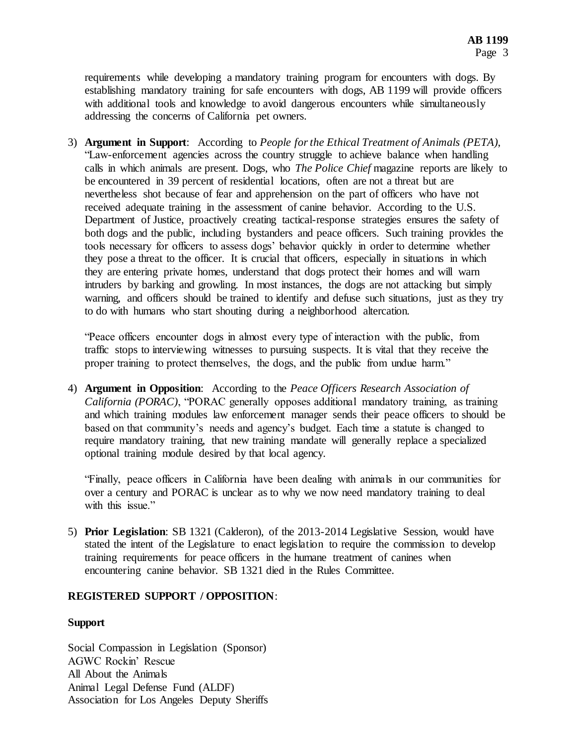requirements while developing a mandatory training program for encounters with dogs. By establishing mandatory training for safe encounters with dogs, AB 1199 will provide officers with additional tools and knowledge to avoid dangerous encounters while simultaneously addressing the concerns of California pet owners.

3) **Argument in Support**: According to *People for the Ethical Treatment of Animals (PETA)*, "Law-enforcement agencies across the country struggle to achieve balance when handling calls in which animals are present. Dogs, who *The Police Chief* magazine reports are likely to be encountered in 39 percent of residential locations, often are not a threat but are nevertheless shot because of fear and apprehension on the part of officers who have not received adequate training in the assessment of canine behavior. According to the U.S. Department of Justice, proactively creating tactical-response strategies ensures the safety of both dogs and the public, including bystanders and peace officers. Such training provides the tools necessary for officers to assess dogs' behavior quickly in order to determine whether they pose a threat to the officer. It is crucial that officers, especially in situations in which they are entering private homes, understand that dogs protect their homes and will warn intruders by barking and growling. In most instances, the dogs are not attacking but simply warning, and officers should be trained to identify and defuse such situations, just as they try to do with humans who start shouting during a neighborhood altercation.

"Peace officers encounter dogs in almost every type of interaction with the public, from traffic stops to interviewing witnesses to pursuing suspects. It is vital that they receive the proper training to protect themselves, the dogs, and the public from undue harm."

4) **Argument in Opposition**: According to the *Peace Officers Research Association of California (PORAC)*, "PORAC generally opposes additional mandatory training, as training and which training modules law enforcement manager sends their peace officers to should be based on that community's needs and agency's budget. Each time a statute is changed to require mandatory training, that new training mandate will generally replace a specialized optional training module desired by that local agency.

"Finally, peace officers in California have been dealing with animals in our communities for over a century and PORAC is unclear as to why we now need mandatory training to deal with this issue."

5) **Prior Legislation**: SB 1321 (Calderon), of the 2013-2014 Legislative Session, would have stated the intent of the Legislature to enact legislation to require the commission to develop training requirements for peace officers in the humane treatment of canines when encountering canine behavior. SB 1321 died in the Rules Committee.

# **REGISTERED SUPPORT / OPPOSITION**:

#### **Support**

Social Compassion in Legislation (Sponsor) AGWC Rockin' Rescue All About the Animals Animal Legal Defense Fund (ALDF) Association for Los Angeles Deputy Sheriffs